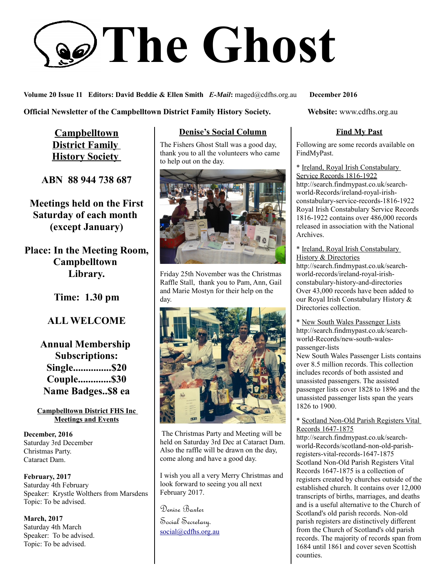# **The Ghost**

**Volume 20 Issue 11 Editors: David Beddie & Ellen Smith** *E-Mail***:** maged@cdfhs.org.au **December 2016**

**Official Newsletter of the Campbelltown District Family History Society. Website: www.cdfhs.org.au** 

**Campbelltown District Family History Society** 

**ABN 88 944 738 687**

**Meetings held on the First Saturday of each month (except January)**

**Place: In the Meeting Room, Campbelltown Library.**

**Time: 1.30 pm**

## **ALL WELCOME**

**Annual Membership Subscriptions: Single...............\$20 Couple.............\$30 Name Badges..\$8 ea**

#### **Campbelltown District FHS Inc Meetings and Events**

**December, 2016** Saturday 3rd December Christmas Party. Cataract Dam.

**February, 2017** Saturday 4th February Speaker: Krystle Wolthers from Marsdens Topic: To be advised.

**March, 2017** Saturday 4th March Speaker: To be advised. Topic: To be advised.

## **Denise's Social Column**

The Fishers Ghost Stall was a good day, thank you to all the volunteers who came to help out on the day.



Friday 25th November was the Christmas Raffle Stall, thank you to Pam, Ann, Gail and Marie Mostyn for their help on the day.



 The Christmas Party and Meeting will be held on Saturday 3rd Dec at Cataract Dam. Also the raffle will be drawn on the day, come along and have a good day.

I wish you all a very Merry Christmas and look forward to seeing you all next February 2017.

Denise Baxter

Social Secretary. [social@cdfhs.org.au](mailto:social@cdfhs.org.au)

## **Find My Past**

Following are some records available on FindMyPast.

\* Ireland, Royal Irish Constabulary Service Records 1816-1922 http://search.findmypast.co.uk/searchworld-Records/ireland-royal-irishconstabulary-service-records-1816-1922 Royal Irish Constabulary Service Records 1816-1922 contains over 486,000 records released in association with the National Archives.

\* Ireland, Royal Irish Constabulary History & Directories

http://search.findmypast.co.uk/searchworld-records/ireland-royal-irishconstabulary-history-and-directories Over 43,000 records have been added to our Royal Irish Constabulary History & Directories collection.

\* New South Wales Passenger Lists http://search.findmypast.co.uk/searchworld-Records/new-south-walespassenger-lists

New South Wales Passenger Lists contains over 8.5 million records. This collection includes records of both assisted and unassisted passengers. The assisted passenger lists cover 1828 to 1896 and the unassisted passenger lists span the years 1826 to 1900.

#### \* Scotland Non-Old Parish Registers Vital Records 1647-1875

http://search.findmypast.co.uk/searchworld-Records/scotland-non-old-parishregisters-vital-records-1647-1875 Scotland Non-Old Parish Registers Vital Records 1647-1875 is a collection of registers created by churches outside of the established church. It contains over 12,000 transcripts of births, marriages, and deaths and is a useful alternative to the Church of Scotland's old parish records. Non-old parish registers are distinctively different from the Church of Scotland's old parish records. The majority of records span from 1684 until 1861 and cover seven Scottish counties.